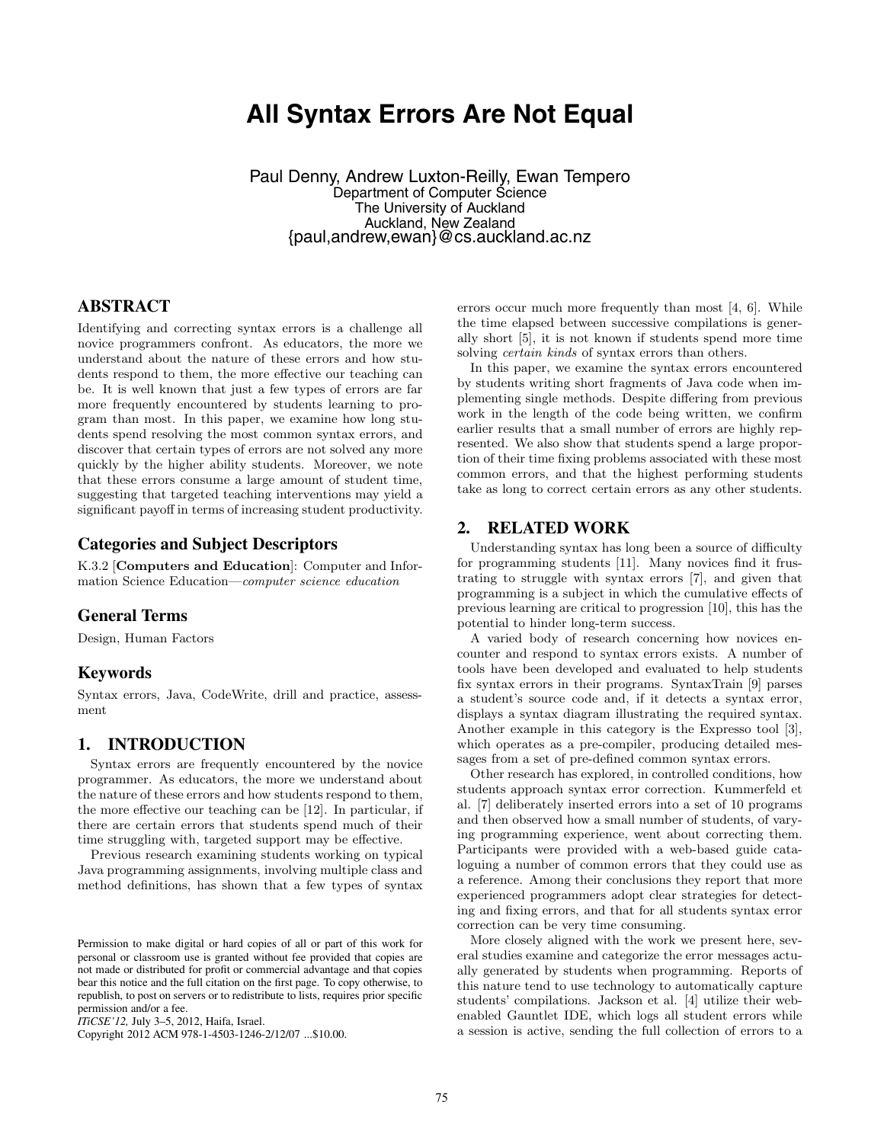# **All Syntax Errors Are Not Equal**

Paul Denny, Andrew Luxton-Reilly, Ewan Tempero Department of Computer Science The University of Auckland Auckland, New Zealand {paul,andrew,ewan}@cs.auckland.ac.nz

# **ABSTRACT**

Identifying and correcting syntax errors is a challenge all novice programmers confront. As educators, the more we understand about the nature of these errors and how students respond to them, the more effective our teaching can be. It is well known that just a few types of errors are far more frequently encountered by students learning to program than most. In this paper, we examine how long students spend resolving the most common syntax errors, and discover that certain types of errors are not solved any more quickly by the higher ability students. Moreover, we note that these errors consume a large amount of student time, suggesting that targeted teaching interventions may yield a significant payoff in terms of increasing student productivity.

## **Categories and Subject Descriptors**

K.3.2 [**Computers and Education**]: Computer and Information Science Education—computer science education

#### **General Terms**

Design, Human Factors

## **Keywords**

Syntax errors, Java, CodeWrite, drill and practice, assessment

#### **1. INTRODUCTION**

Syntax errors are frequently encountered by the novice programmer. As educators, the more we understand about the nature of these errors and how students respond to them, the more effective our teaching can be [12]. In particular, if there are certain errors that students spend much of their time struggling with, targeted support may be effective.

Previous research examining students working on typical Java programming assignments, involving multiple class and method definitions, has shown that a few types of syntax

Copyright 2012 ACM 978-1-4503-1246-2/12/07 ...\$10.00.

errors occur much more frequently than most [4, 6]. While the time elapsed between successive compilations is generally short [5], it is not known if students spend more time solving *certain kinds* of syntax errors than others.

In this paper, we examine the syntax errors encountered by students writing short fragments of Java code when implementing single methods. Despite differing from previous work in the length of the code being written, we confirm earlier results that a small number of errors are highly represented. We also show that students spend a large proportion of their time fixing problems associated with these most common errors, and that the highest performing students take as long to correct certain errors as any other students.

#### **2. RELATED WORK**

Understanding syntax has long been a source of difficulty for programming students [11]. Many novices find it frustrating to struggle with syntax errors [7], and given that programming is a subject in which the cumulative effects of previous learning are critical to progression [10], this has the potential to hinder long-term success.

A varied body of research concerning how novices encounter and respond to syntax errors exists. A number of tools have been developed and evaluated to help students fix syntax errors in their programs. SyntaxTrain [9] parses a student's source code and, if it detects a syntax error, displays a syntax diagram illustrating the required syntax. Another example in this category is the Expresso tool [3], which operates as a pre-compiler, producing detailed messages from a set of pre-defined common syntax errors.

Other research has explored, in controlled conditions, how students approach syntax error correction. Kummerfeld et al. [7] deliberately inserted errors into a set of 10 programs and then observed how a small number of students, of varying programming experience, went about correcting them. Participants were provided with a web-based guide cataloguing a number of common errors that they could use as a reference. Among their conclusions they report that more experienced programmers adopt clear strategies for detecting and fixing errors, and that for all students syntax error correction can be very time consuming.

More closely aligned with the work we present here, several studies examine and categorize the error messages actually generated by students when programming. Reports of this nature tend to use technology to automatically capture students' compilations. Jackson et al. [4] utilize their webenabled Gauntlet IDE, which logs all student errors while a session is active, sending the full collection of errors to a

Permission to make digital or hard copies of all or part of this work for personal or classroom use is granted without fee provided that copies are not made or distributed for profit or commercial advantage and that copies bear this notice and the full citation on the first page. To copy otherwise, to republish, to post on servers or to redistribute to lists, requires prior specific permission and/or a fee.

*ITiCSE'12,* July 3–5, 2012, Haifa, Israel.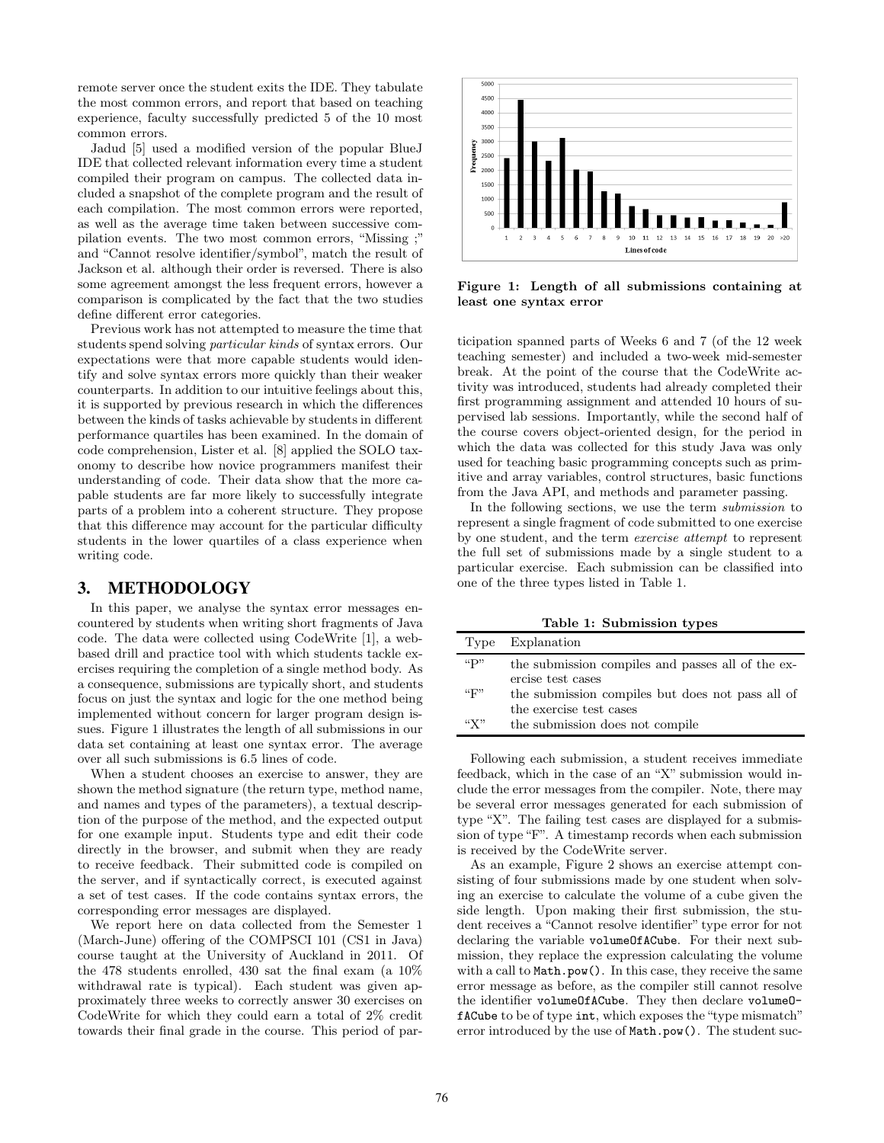remote server once the student exits the IDE. They tabulate the most common errors, and report that based on teaching experience, faculty successfully predicted 5 of the 10 most common errors.

Jadud [5] used a modified version of the popular BlueJ IDE that collected relevant information every time a student compiled their program on campus. The collected data included a snapshot of the complete program and the result of each compilation. The most common errors were reported, as well as the average time taken between successive compilation events. The two most common errors, "Missing ;" and "Cannot resolve identifier/symbol", match the result of Jackson et al. although their order is reversed. There is also some agreement amongst the less frequent errors, however a comparison is complicated by the fact that the two studies define different error categories.

Previous work has not attempted to measure the time that students spend solving particular kinds of syntax errors. Our expectations were that more capable students would identify and solve syntax errors more quickly than their weaker counterparts. In addition to our intuitive feelings about this, it is supported by previous research in which the differences between the kinds of tasks achievable by students in different performance quartiles has been examined. In the domain of code comprehension, Lister et al. [8] applied the SOLO taxonomy to describe how novice programmers manifest their understanding of code. Their data show that the more capable students are far more likely to successfully integrate parts of a problem into a coherent structure. They propose that this difference may account for the particular difficulty students in the lower quartiles of a class experience when writing code.

#### **3. METHODOLOGY**

In this paper, we analyse the syntax error messages encountered by students when writing short fragments of Java code. The data were collected using CodeWrite [1], a webbased drill and practice tool with which students tackle exercises requiring the completion of a single method body. As a consequence, submissions are typically short, and students focus on just the syntax and logic for the one method being implemented without concern for larger program design issues. Figure 1 illustrates the length of all submissions in our data set containing at least one syntax error. The average over all such submissions is 6.5 lines of code.

When a student chooses an exercise to answer, they are shown the method signature (the return type, method name, and names and types of the parameters), a textual description of the purpose of the method, and the expected output for one example input. Students type and edit their code directly in the browser, and submit when they are ready to receive feedback. Their submitted code is compiled on the server, and if syntactically correct, is executed against a set of test cases. If the code contains syntax errors, the corresponding error messages are displayed.

We report here on data collected from the Semester 1 (March-June) offering of the COMPSCI 101 (CS1 in Java) course taught at the University of Auckland in 2011. Of the 478 students enrolled, 430 sat the final exam (a 10% withdrawal rate is typical). Each student was given approximately three weeks to correctly answer 30 exercises on CodeWrite for which they could earn a total of 2% credit towards their final grade in the course. This period of par-



**Figure 1: Length of all submissions containing at least one syntax error**

ticipation spanned parts of Weeks 6 and 7 (of the 12 week teaching semester) and included a two-week mid-semester break. At the point of the course that the CodeWrite activity was introduced, students had already completed their first programming assignment and attended 10 hours of supervised lab sessions. Importantly, while the second half of the course covers object-oriented design, for the period in which the data was collected for this study Java was only used for teaching basic programming concepts such as primitive and array variables, control structures, basic functions from the Java API, and methods and parameter passing.

In the following sections, we use the term submission to represent a single fragment of code submitted to one exercise by one student, and the term exercise attempt to represent the full set of submissions made by a single student to a particular exercise. Each submission can be classified into one of the three types listed in Table 1.

**Table 1: Submission types**

| Type                       | Explanation                                                                                      |
|----------------------------|--------------------------------------------------------------------------------------------------|
| $\mathfrak{C}(\mathbf{p})$ | the submission compiles and passes all of the ex-                                                |
| ``F"                       | ercise test cases<br>the submission compiles but does not pass all of<br>the exercise test cases |
| ``X"                       | the submission does not compile                                                                  |

Following each submission, a student receives immediate feedback, which in the case of an "X" submission would include the error messages from the compiler. Note, there may be several error messages generated for each submission of type "X". The failing test cases are displayed for a submission of type "F". A timestamp records when each submission is received by the CodeWrite server.

As an example, Figure 2 shows an exercise attempt consisting of four submissions made by one student when solving an exercise to calculate the volume of a cube given the side length. Upon making their first submission, the student receives a "Cannot resolve identifier" type error for not declaring the variable volumeOfACube. For their next submission, they replace the expression calculating the volume with a call to Math.pow(). In this case, they receive the same error message as before, as the compiler still cannot resolve the identifier volumeOfACube. They then declare volumeOfACube to be of type int, which exposes the "type mismatch" error introduced by the use of Math.pow(). The student suc-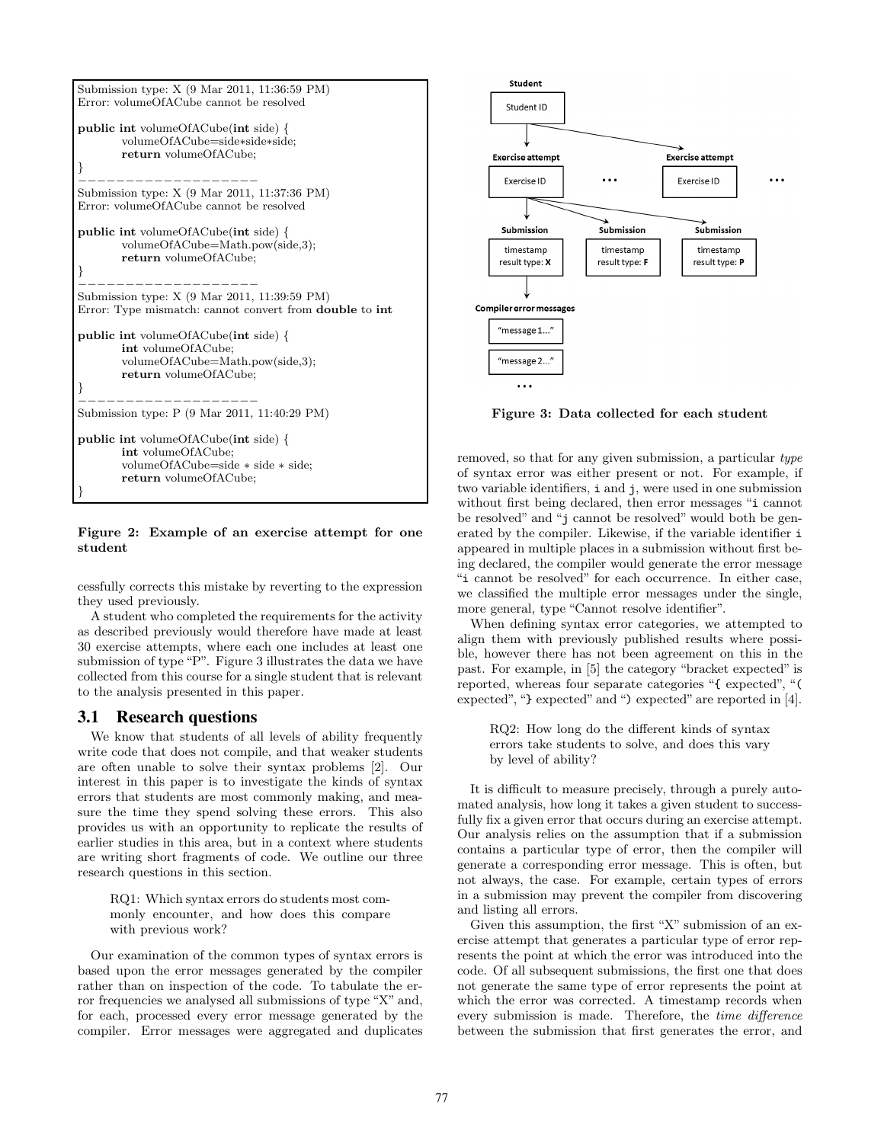```
Submission type: X (9 Mar 2011, 11:36:59 PM)
Error: volumeOfACube cannot be resolved
public int volumeOfACube(int side) {
       volumeOfACube=side∗side∗side;
       return volumeOfACube;
}
−−−−−−−−−−−−−−−−−−−
Submission type: X (9 Mar 2011, 11:37:36 PM)
Error: volumeOfACube cannot be resolved
public int volumeOfACube(int side) {
       volumeOfACube=Math.pow(side,3);
       return volumeOfACube;
}
−−−−−−−−−−−−−−−−−−−
Submission type: X (9 Mar 2011, 11:39:59 PM)
Error: Type mismatch: cannot convert from double to int
public int volumeOfACube(int side) {
       int volumeOfACube;
       volumeOfACube=Math.pow(side,3);
       return volumeOfACube;
}
−−−−−−−−−−−−−−−−−−−
Submission type: P (9 Mar 2011, 11:40:29 PM)
public int volumeOfACube(int side) {
       int volumeOfACube;
       volumeOfACube=side ∗ side ∗ side;
       return volumeOfACube;
}
```
#### **Figure 2: Example of an exercise attempt for one student**

cessfully corrects this mistake by reverting to the expression they used previously.

A student who completed the requirements for the activity as described previously would therefore have made at least 30 exercise attempts, where each one includes at least one submission of type "P". Figure 3 illustrates the data we have collected from this course for a single student that is relevant to the analysis presented in this paper.

#### **3.1 Research questions**

We know that students of all levels of ability frequently write code that does not compile, and that weaker students are often unable to solve their syntax problems [2]. Our interest in this paper is to investigate the kinds of syntax errors that students are most commonly making, and measure the time they spend solving these errors. This also provides us with an opportunity to replicate the results of earlier studies in this area, but in a context where students are writing short fragments of code. We outline our three research questions in this section.

RQ1: Which syntax errors do students most commonly encounter, and how does this compare with previous work?

Our examination of the common types of syntax errors is based upon the error messages generated by the compiler rather than on inspection of the code. To tabulate the error frequencies we analysed all submissions of type "X" and, for each, processed every error message generated by the compiler. Error messages were aggregated and duplicates



**Figure 3: Data collected for each student**

removed, so that for any given submission, a particular type of syntax error was either present or not. For example, if two variable identifiers, i and j, were used in one submission without first being declared, then error messages "i cannot be resolved" and "j cannot be resolved" would both be generated by the compiler. Likewise, if the variable identifier i appeared in multiple places in a submission without first being declared, the compiler would generate the error message "i cannot be resolved" for each occurrence. In either case, we classified the multiple error messages under the single, more general, type "Cannot resolve identifier".

When defining syntax error categories, we attempted to align them with previously published results where possible, however there has not been agreement on this in the past. For example, in [5] the category "bracket expected" is reported, whereas four separate categories "{ expected", "( expected", "} expected" and ") expected" are reported in [4].

RQ2: How long do the different kinds of syntax errors take students to solve, and does this vary by level of ability?

It is difficult to measure precisely, through a purely automated analysis, how long it takes a given student to successfully fix a given error that occurs during an exercise attempt. Our analysis relies on the assumption that if a submission contains a particular type of error, then the compiler will generate a corresponding error message. This is often, but not always, the case. For example, certain types of errors in a submission may prevent the compiler from discovering and listing all errors.

Given this assumption, the first "X" submission of an exercise attempt that generates a particular type of error represents the point at which the error was introduced into the code. Of all subsequent submissions, the first one that does not generate the same type of error represents the point at which the error was corrected. A timestamp records when every submission is made. Therefore, the time difference between the submission that first generates the error, and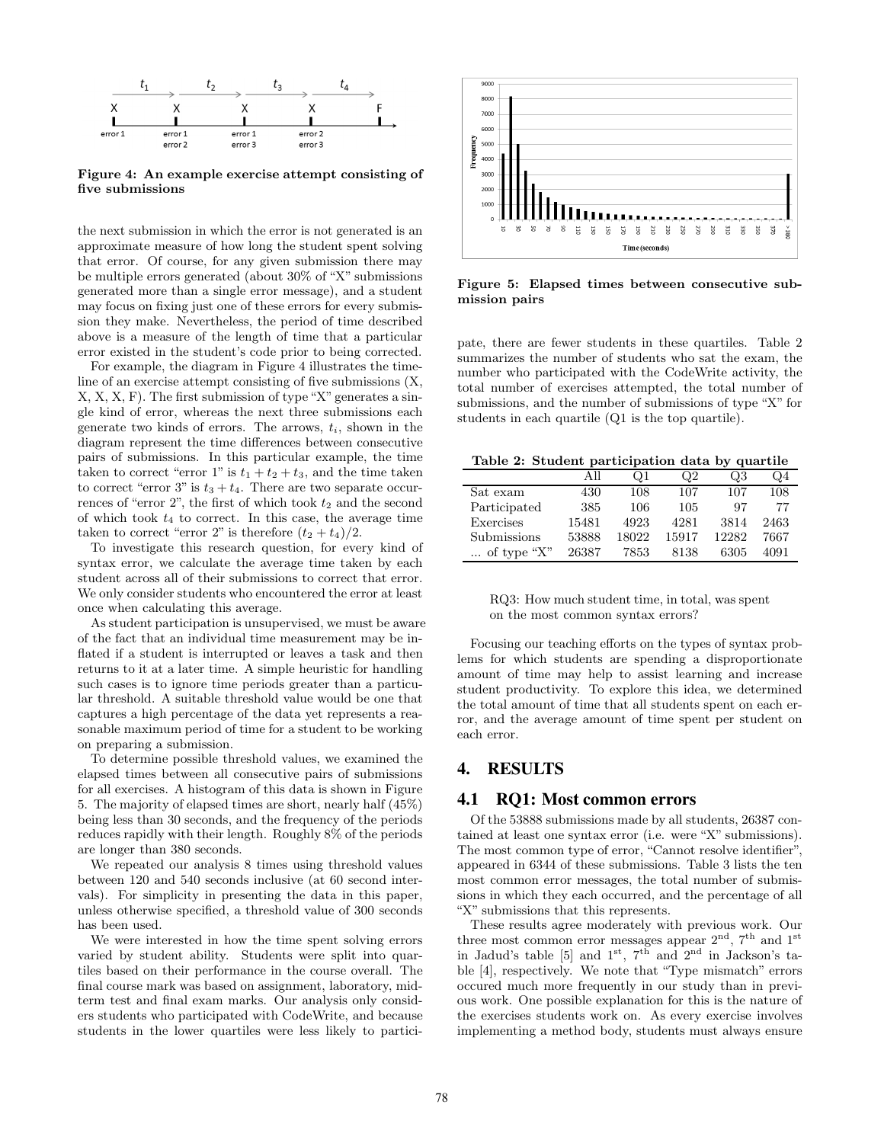

**Figure 4: An example exercise attempt consisting of five submissions**

the next submission in which the error is not generated is an approximate measure of how long the student spent solving that error. Of course, for any given submission there may be multiple errors generated (about 30% of "X" submissions generated more than a single error message), and a student may focus on fixing just one of these errors for every submission they make. Nevertheless, the period of time described above is a measure of the length of time that a particular error existed in the student's code prior to being corrected.

For example, the diagram in Figure 4 illustrates the timeline of an exercise attempt consisting of five submissions (X, X, X, X, F). The first submission of type "X" generates a single kind of error, whereas the next three submissions each generate two kinds of errors. The arrows, *ti*, shown in the diagram represent the time differences between consecutive pairs of submissions. In this particular example, the time taken to correct "error 1" is  $t_1 + t_2 + t_3$ , and the time taken to correct "error 3" is  $t_3 + t_4$ . There are two separate occurrences of "error  $2$ ", the first of which took  $t_2$  and the second of which took *t*<sup>4</sup> to correct. In this case, the average time taken to correct "error 2" is therefore  $(t_2 + t_4)/2$ .

To investigate this research question, for every kind of syntax error, we calculate the average time taken by each student across all of their submissions to correct that error. We only consider students who encountered the error at least once when calculating this average.

As student participation is unsupervised, we must be aware of the fact that an individual time measurement may be inflated if a student is interrupted or leaves a task and then returns to it at a later time. A simple heuristic for handling such cases is to ignore time periods greater than a particular threshold. A suitable threshold value would be one that captures a high percentage of the data yet represents a reasonable maximum period of time for a student to be working on preparing a submission.

To determine possible threshold values, we examined the elapsed times between all consecutive pairs of submissions for all exercises. A histogram of this data is shown in Figure 5. The majority of elapsed times are short, nearly half (45%) being less than 30 seconds, and the frequency of the periods reduces rapidly with their length. Roughly 8% of the periods are longer than 380 seconds.

We repeated our analysis 8 times using threshold values between 120 and 540 seconds inclusive (at 60 second intervals). For simplicity in presenting the data in this paper, unless otherwise specified, a threshold value of 300 seconds has been used.

We were interested in how the time spent solving errors varied by student ability. Students were split into quartiles based on their performance in the course overall. The final course mark was based on assignment, laboratory, midterm test and final exam marks. Our analysis only considers students who participated with CodeWrite, and because students in the lower quartiles were less likely to partici-



**Figure 5: Elapsed times between consecutive submission pairs**

pate, there are fewer students in these quartiles. Table 2 summarizes the number of students who sat the exam, the number who participated with the CodeWrite activity, the total number of exercises attempted, the total number of submissions, and the number of submissions of type "X" for students in each quartile (Q1 is the top quartile).

**Table 2: Student participation data by quartile**

|                      | A 11  | Ω1    | Q2    | Q3    | Q4   |
|----------------------|-------|-------|-------|-------|------|
| Sat exam             | 430   | 108   | 107   | 107   | 108  |
| Participated         | 385   | 106   | 105   | 97    | 77   |
| Exercises            | 15481 | 4923  | 4281  | 3814  | 2463 |
| Submissions          | 53888 | 18022 | 15917 | 12282 | 7667 |
| $\ldots$ of type "X" | 26387 | 7853  | 8138  | 6305  | 4091 |

| RQ3: How much student time, in total, was spent |
|-------------------------------------------------|
| on the most common syntax errors?               |

Focusing our teaching efforts on the types of syntax problems for which students are spending a disproportionate amount of time may help to assist learning and increase student productivity. To explore this idea, we determined the total amount of time that all students spent on each error, and the average amount of time spent per student on each error.

## **4. RESULTS**

#### **4.1 RQ1: Most common errors**

Of the 53888 submissions made by all students, 26387 contained at least one syntax error (i.e. were "X" submissions). The most common type of error, "Cannot resolve identifier", appeared in 6344 of these submissions. Table 3 lists the ten most common error messages, the total number of submissions in which they each occurred, and the percentage of all "X" submissions that this represents.

These results agree moderately with previous work. Our three most common error messages appear  $2<sup>nd</sup>$ ,  $7<sup>th</sup>$  and  $1<sup>st</sup>$ in Jadud's table [5] and  $1^{st}$ ,  $7^{th}$  and  $2^{nd}$  in Jackson's table [4], respectively. We note that "Type mismatch" errors occured much more frequently in our study than in previous work. One possible explanation for this is the nature of the exercises students work on. As every exercise involves implementing a method body, students must always ensure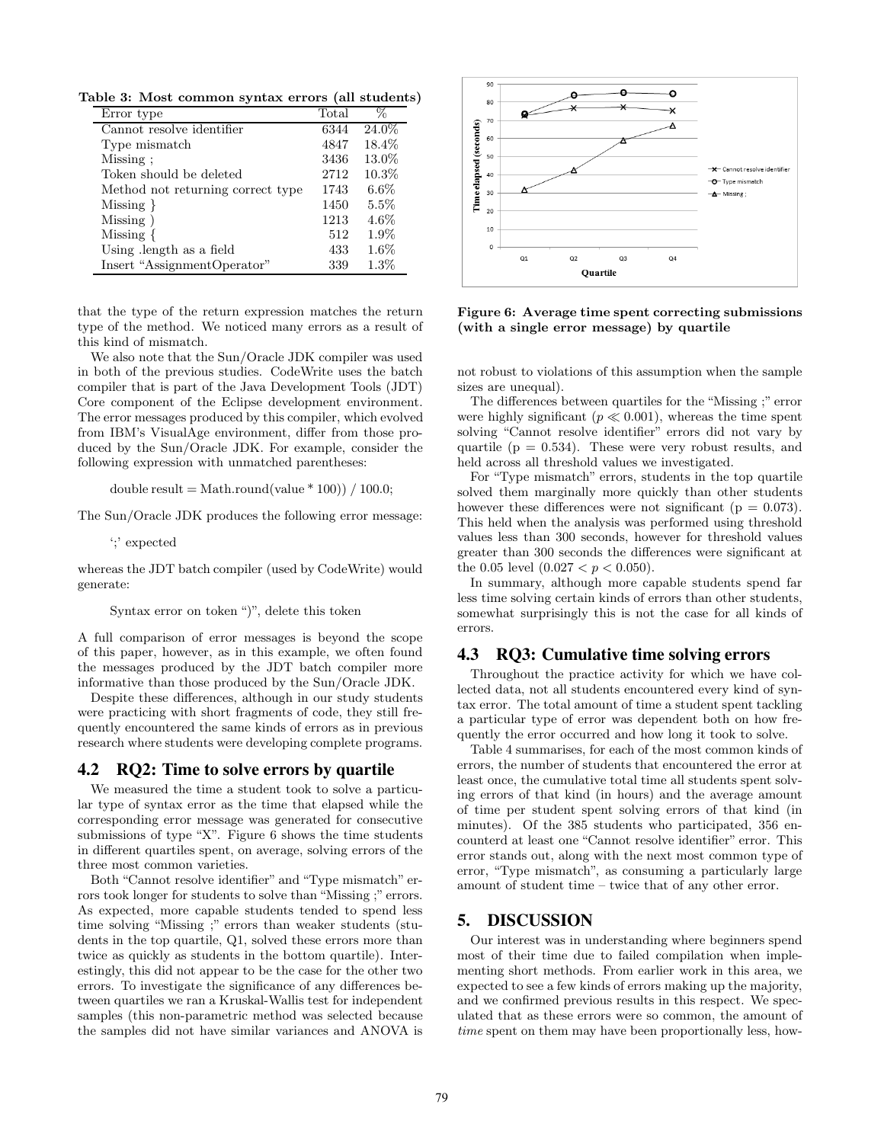**Table 3: Most common syntax errors (all students)**

| Error type                        | Total | %       |
|-----------------------------------|-------|---------|
| Cannot resolve identifier         | 6344  | 24.0%   |
| Type mismatch                     | 4847  | 18.4%   |
| Missing:                          | 3436  | 13.0%   |
| Token should be deleted           | 2712  | 10.3%   |
| Method not returning correct type | 1743  | $6.6\%$ |
| $Missing \}$                      | 1450  | 5.5%    |
| Missing)                          | 1213  | $4.6\%$ |
| Missing $\{$                      | 512   | $1.9\%$ |
| Using length as a field           | 433   | $1.6\%$ |
| Insert "AssignmentOperator"       | 339   | $1.3\%$ |

that the type of the return expression matches the return type of the method. We noticed many errors as a result of this kind of mismatch.

We also note that the Sun/Oracle JDK compiler was used in both of the previous studies. CodeWrite uses the batch compiler that is part of the Java Development Tools (JDT) Core component of the Eclipse development environment. The error messages produced by this compiler, which evolved from IBM's VisualAge environment, differ from those produced by the Sun/Oracle JDK. For example, consider the following expression with unmatched parentheses:

double result = Math.round(value  $*$  100)) / 100.0;

The Sun/Oracle JDK produces the following error message:

';' expected

whereas the JDT batch compiler (used by CodeWrite) would generate:

Syntax error on token ")", delete this token

A full comparison of error messages is beyond the scope of this paper, however, as in this example, we often found the messages produced by the JDT batch compiler more informative than those produced by the Sun/Oracle JDK.

Despite these differences, although in our study students were practicing with short fragments of code, they still frequently encountered the same kinds of errors as in previous research where students were developing complete programs.

## **4.2 RQ2: Time to solve errors by quartile**

We measured the time a student took to solve a particular type of syntax error as the time that elapsed while the corresponding error message was generated for consecutive submissions of type "X". Figure 6 shows the time students in different quartiles spent, on average, solving errors of the three most common varieties.

Both "Cannot resolve identifier" and "Type mismatch" errors took longer for students to solve than "Missing ;" errors. As expected, more capable students tended to spend less time solving "Missing ;" errors than weaker students (students in the top quartile, Q1, solved these errors more than twice as quickly as students in the bottom quartile). Interestingly, this did not appear to be the case for the other two errors. To investigate the significance of any differences between quartiles we ran a Kruskal-Wallis test for independent samples (this non-parametric method was selected because the samples did not have similar variances and ANOVA is



**Figure 6: Average time spent correcting submissions (with a single error message) by quartile**

not robust to violations of this assumption when the sample sizes are unequal).

The differences between quartiles for the "Missing ;" error were highly significant  $(p \ll 0.001)$ , whereas the time spent solving "Cannot resolve identifier" errors did not vary by quartile ( $p = 0.534$ ). These were very robust results, and held across all threshold values we investigated.

For "Type mismatch" errors, students in the top quartile solved them marginally more quickly than other students however these differences were not significant ( $p = 0.073$ ). This held when the analysis was performed using threshold values less than 300 seconds, however for threshold values greater than 300 seconds the differences were significant at the 0.05 level  $(0.027 < p < 0.050)$ .

In summary, although more capable students spend far less time solving certain kinds of errors than other students, somewhat surprisingly this is not the case for all kinds of errors.

#### **4.3 RQ3: Cumulative time solving errors**

Throughout the practice activity for which we have collected data, not all students encountered every kind of syntax error. The total amount of time a student spent tackling a particular type of error was dependent both on how frequently the error occurred and how long it took to solve.

Table 4 summarises, for each of the most common kinds of errors, the number of students that encountered the error at least once, the cumulative total time all students spent solving errors of that kind (in hours) and the average amount of time per student spent solving errors of that kind (in minutes). Of the 385 students who participated, 356 encounterd at least one "Cannot resolve identifier" error. This error stands out, along with the next most common type of error, "Type mismatch", as consuming a particularly large amount of student time – twice that of any other error.

#### **5. DISCUSSION**

Our interest was in understanding where beginners spend most of their time due to failed compilation when implementing short methods. From earlier work in this area, we expected to see a few kinds of errors making up the majority, and we confirmed previous results in this respect. We speculated that as these errors were so common, the amount of time spent on them may have been proportionally less, how-